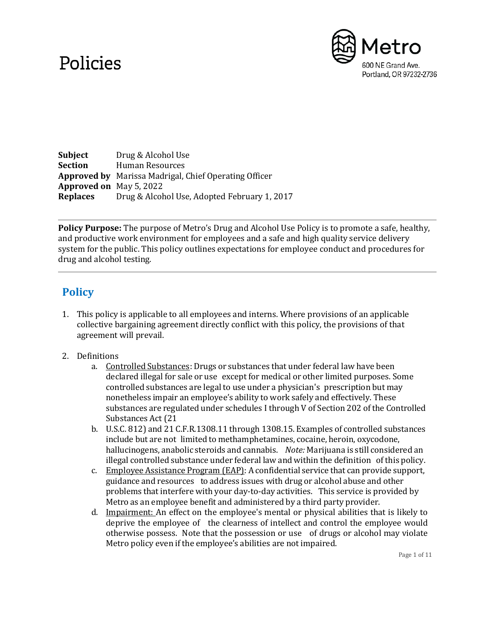# Policies



**Subject** Drug & Alcohol Use **Section** Human Resources **Approved by** Marissa Madrigal, Chief Operating Officer **Approved on** May 5, 2022 **Replaces** Drug & Alcohol Use, Adopted February 1, 2017

**Policy Purpose:** The purpose of Metro's Drug and Alcohol Use Policy is to promote a safe, healthy, and productive work environment for employees and a safe and high quality service delivery system for the public. This policy outlines expectations for employee conduct and procedures for drug and alcohol testing.

## **Policy**

- 1. This policy is applicable to all employees and interns. Where provisions of an applicable collective bargaining agreement directly conflict with this policy, the provisions of that agreement will prevail.
- 2. Definitions
	- a. Controlled Substances: Drugs or substances that under federal law have been declared illegal for sale or use except for medical or other limited purposes. Some controlled substances are legal to use under a physician's prescription but may nonetheless impair an employee's ability to work safely and effectively. These substances are regulated under schedules I through V of Section 202 of the Controlled Substances Act (21
	- b. U.S.C. 812) and 21 C.F.R.1308.11 through 1308.15. Examples of controlled substances include but are not limited to methamphetamines, cocaine, heroin, oxycodone, hallucinogens, anabolic steroids and cannabis. *Note:* Marijuana is still considered an illegal controlled substance under federal law and within the definition of this policy.
	- c. Employee Assistance Program (EAP): A confidential service that can provide support, guidance and resources to address issues with drug or alcohol abuse and other problems that interfere with your day-to-day activities. This service is provided by Metro as an employee benefit and administered by a third party provider.
	- d. Impairment: An effect on the employee's mental or physical abilities that is likely to deprive the employee of the clearness of intellect and control the employee would otherwise possess. Note that the possession or use of drugs or alcohol may violate Metro policy even if the employee's abilities are not impaired.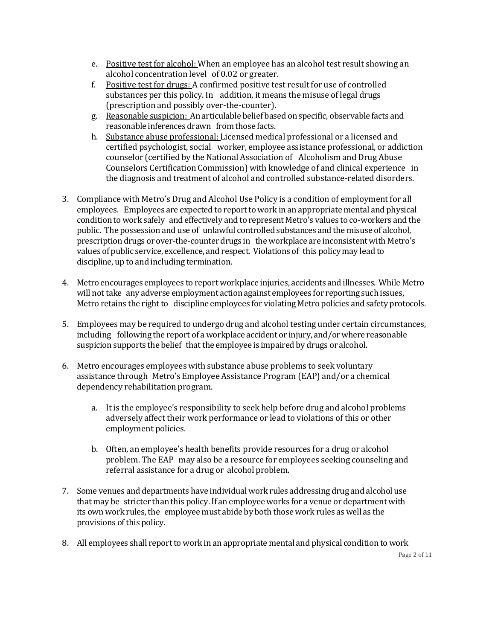- e. Positive test for alcohol: When an employee has an alcohol test result showing an alcohol concentration level of 0.02 or greater.
- f. Positive test for drugs: A confirmed positive test result for use of controlled substances per this policy. In addition, it means the misuse of legal drugs (prescription and possibly over-the-counter).
- g. Reasonable suspicion: An articulable belief based on specific, observable facts and reasonable inferences drawn from those facts.
- h. Substance abuse professional: Licensed medical professional or a licensed and certified psychologist, social worker, employee assistance professional, or addiction counselor (certified by the National Association of Alcoholism and Drug Abuse Counselors Certification Commission) with knowledge of and clinical experience in the diagnosis and treatment of alcohol and controlled substance-related disorders.
- 3. Compliance with Metro's Drug and Alcohol Use Policy is a condition of employment for all employees. Employees are expected to report to work in an appropriate mental and physical condition towork safely and effectively and to represent Metro's values to co-workers and the public. The possession and use of unlawful controlled substances and the misuse of alcohol, prescriptiondrugs or over-the-counter drugs in theworkplace are inconsistentwith Metro's values of public service, excellence, and respect. Violations of this policy may lead to discipline, up to and including termination.
- 4. Metro encourages employees to reportworkplace injuries, accidents and illnesses. While Metro will not take any adverse employment action against employees for reporting such issues, Metro retains the right to discipline employees for violating Metro policies and safety protocols.
- 5. Employees may be required to undergo drug and alcohol testing under certain circumstances, including following the report of a workplace accident or injury, and/orwhere reasonable suspicion supports the belief that the employee is impaired by drugs or alcohol.
- 6. Metro encourages employees with substance abuse problems to seek voluntary assistance through Metro's Employee Assistance Program (EAP) and/or a chemical dependency rehabilitation program.
	- a. It is the employee's responsibility to seek help before drug and alcohol problems adversely affect their work performance or lead to violations of this or other employment policies.
	- b. Often, an employee's health benefits provide resources for a drug or alcohol problem. The EAP may also be a resource for employees seeking counseling and referral assistance for a drug or alcohol problem.
- 7. Some venues and departments have individual work rules addressing drug and alcohol use that may be stricter than this policy. If an employee works for a venue or department with its own work rules, the employee must abide by both those work rules as well as the provisions of this policy.
- 8. All employees shall report to work in an appropriate mental and physical condition to work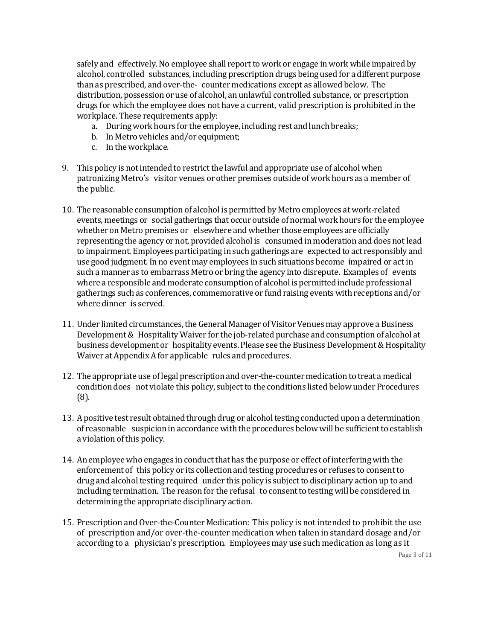safely and effectively. No employee shall report to work or engage in work while impaired by alcohol, controlled substances, including prescription drugs being used for a different purpose than as prescribed, and over-the- counter medications except as allowed below. The distribution, possession or use of alcohol, an unlawful controlled substance, or prescription drugs for which the employee does not have a current, valid prescription is prohibited in the workplace. These requirements apply:

- a. Duringwork hours for the employee, including rest and lunch breaks;
- b. In Metro vehicles and/or equipment;
- c. Intheworkplace.
- 9. This policy is not intended to restrict the lawful and appropriate use of alcohol when patronizing Metro's visitor venues or other premises outside of work hours as a member of the public.
- 10. The reasonable consumption of alcohol is permitted by Metro employees at work-related events, meetings or social gatherings that occur outside of normal work hours for the employee whether on Metro premises or elsewhere and whether those employees are officially representing the agency or not, provided alcohol is consumed in moderation and does notlead to impairment. Employees participating in such gatherings are expected to act responsibly and use good judgment.In no event may employees in such situations become impaired or actin such a manner as to embarrass Metro or bring the agency into disrepute. Examples of events where a responsible and moderate consumption of alcohol is permitted include professional gatherings such as conferences, commemorative or fund raising events with receptions and/or where dinner is served.
- 11. Under limited circumstances, the General Manager of Visitor Venues may approve a Business Development& HospitalityWaiver for the job-related purchase and consumption of alcohol at business development or hospitality events. Please see the Business Development & Hospitality Waiver at AppendixA for applicable rules and procedures.
- 12. The appropriate use of legal prescriptionand over-the-counter medication to treat a medical condition does not violate this policy, subject to the conditions listed below under Procedures (8).
- 13. A positive test result obtained through drug or alcohol testing conducted upon a determination of reasonable suspicionin accordancewith the procedures belowwill be sufficientto establish a violation of this policy.
- 14. An employee who engages in conduct that has the purpose or effect of interfering with the enforcement of this policy or its collection and testing procedures or refuses to consentto drug and alcohol testing required under this policy is subject to disciplinary action up to and including termination. The reason for the refusal to consentto testingwill be considered in determining the appropriate disciplinary action.
- 15. Prescription andOver-the-Counter Medication: This policy is not intended to prohibit the use of prescription and/or over-the-counter medication when taken in standard dosage and/or according to a physician's prescription. Employees may use such medication as long as it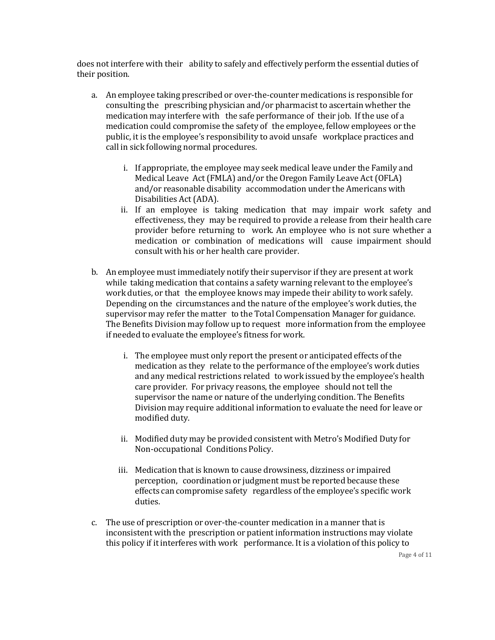does not interfere with their ability to safely and effectively perform the essential duties of their position.

- a. An employee taking prescribed or over-the-counter medications is responsible for consulting the prescribing physician and/or pharmacist to ascertain whether the medication may interfere with the safe performance of their job. If the use of a medication could compromise the safety of the employee, fellow employees or the public, it is the employee's responsibility to avoid unsafe workplace practices and call in sick following normal procedures.
	- i. If appropriate, the employee may seek medical leave under the Family and Medical Leave Act (FMLA) and/or the Oregon Family Leave Act (OFLA) and/or reasonable disability accommodation under the Americans with Disabilities Act(ADA).
	- ii. If an employee is taking medication that may impair work safety and effectiveness, they may be required to provide a release from their health care provider before returning to work. An employee who is not sure whether a medication or combination of medications will cause impairment should consult with his or her health care provider.
- b. An employee must immediately notify their supervisor if they are present at work while taking medication that contains a safety warning relevant to the employee's work duties, or that the employee knows may impede their ability to work safely. Depending on the circumstances and the nature of the employee's work duties, the supervisor may refer the matter to the Total Compensation Manager for guidance. The Benefits Division may follow up to request more information from the employee if needed to evaluate the employee's fitness for work.
	- i. The employee must only report the present or anticipated effects of the medication as they relate to the performance of the employee's work duties and any medical restrictions related to work issued by the employee's health care provider. For privacy reasons, the employee should not tell the supervisor the name or nature of the underlying condition. The Benefits Division may require additional information to evaluate the need for leave or modified duty.
	- ii. Modified duty may be provided consistent with Metro's Modified Duty for Non-occupational Conditions Policy.
	- iii. Medication that is known to cause drowsiness, dizziness or impaired perception, coordination or judgment must be reported because these effects can compromise safety regardless of the employee's specific work duties.
- c. The use of prescription or over-the-counter medication in a manner that is inconsistent with the prescription or patient information instructions may violate this policy if it interferes with work performance. It is a violation of this policy to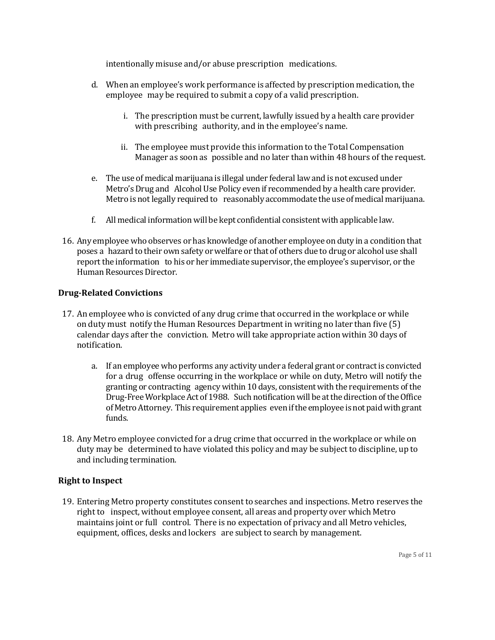intentionally misuse and/or abuse prescription medications.

- d. When an employee's work performance is affected by prescription medication, the employee may be required to submit a copy of a valid prescription.
	- i. The prescription must be current, lawfully issued by a health care provider with prescribing authority, and in the employee's name.
	- ii. The employee must provide this information to the Total Compensation Manager as soon as possible and no later than within 48 hours of the request.
- e. The use of medical marijuana is illegal under federal lawand is not excused under Metro's Drug and AlcoholUse Policy even if recommended by a health care provider. Metro is not legally required to reasonably accommodate the use of medical marijuana.
- f. All medical informationwill be kept confidential consistentwith applicable law.
- 16. Any employeewho observes or has knowledge of another employee on duty in a condition that poses a hazard to their own safety orwelfare or that of others due to drug or alcohol use shall report the information to his or her immediate supervisor, the employee's supervisor, or the Human Resources Director.

## **Drug-Related Convictions**

- 17. An employee who is convicted of any drug crime that occurred in the workplace or while on duty must notify the Human Resources Department in writing no later than five (5) calendar days after the conviction. Metro will take appropriate action within 30 days of notification.
	- a. If an employeewho performs any activity under a federal grant or contractis convicted for a drug offense occurring in the workplace or while on duty, Metro will notify the granting or contracting agency within 10 days, consistent with the requirements of the Drug-Free Workplace Act of 1988. Such notification will be at the direction of the Office ofMetroAttorney. This requirementapplies evenifthe employeeisnotpaidwithgrant funds.
- 18. Any Metro employee convicted for a drug crime that occurred in the workplace or while on duty may be determined to have violated this policy and may be subject to discipline, up to and including termination.

#### **Right to Inspect**

19. Entering Metro property constitutes consent to searches and inspections. Metro reserves the right to inspect, without employee consent, all areas and property over which Metro maintains joint or full control. There is no expectation of privacy and all Metro vehicles, equipment, offices, desks and lockers are subject to search by management.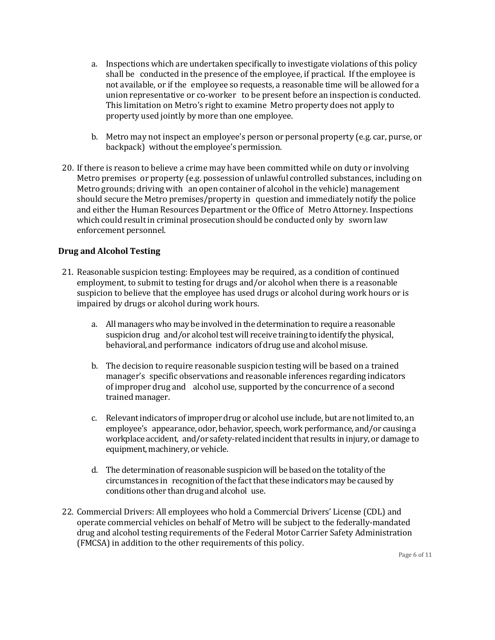- a. Inspections which are undertaken specifically to investigate violations of this policy shall be conducted in the presence of the employee, if practical. If the employee is not available, or if the employee so requests, a reasonable time will be allowed for a union representative or co-worker to be present before an inspection is conducted. This limitation on Metro's right to examine Metro property does not apply to property used jointly by more than one employee.
- b. Metro may not inspect an employee's person or personal property (e.g. car, purse, or backpack) without the employee's permission.
- 20. If there is reason to believe a crime may have been committed while on duty or involving Metro premises or property (e.g. possession of unlawful controlled substances, including on Metro grounds; driving with an open container of alcohol in the vehicle) management should secure the Metro premises/property in question and immediately notify the police and either the Human Resources Department or the Office of Metro Attorney. Inspections which could result in criminal prosecution should be conducted only by sworn law enforcement personnel.

## **Drug and Alcohol Testing**

- 21. Reasonable suspicion testing: Employees may be required, as a condition of continued employment, to submit to testing for drugs and/or alcohol when there is a reasonable suspicion to believe that the employee has used drugs or alcohol during work hours or is impaired by drugs or alcohol during work hours.
	- a. All managers who may be involved in the determination to require a reasonable suspicion drug and/or alcohol test will receive training to identify the physical, behavioral, and performance indicators of drug use and alcohol misuse.
	- b. The decision to require reasonable suspicion testing will be based on a trained manager's specific observations and reasonable inferences regarding indicators of improper drug and alcohol use, supported by the concurrence of a second trained manager.
	- c. Relevantindicators of improper drug or alcohol use include, but are notlimited to, an employee's appearance, odor, behavior, speech,work performance, and/or causing a workplace accident, and/or safety-related incident that results in injury, or damage to equipment, machinery, or vehicle.
	- d. The determination of reasonable suspicionwill be based on the totality ofthe circumstances in recognition of the fact that these indicators may be caused by conditions other than drug and alcohol use.
- 22. Commercial Drivers: All employees who hold a Commercial Drivers' License (CDL) and operate commercial vehicles on behalf of Metro will be subject to the federally-mandated drug and alcohol testing requirements of the Federal Motor Carrier Safety Administration (FMCSA) in addition to the other requirements of this policy.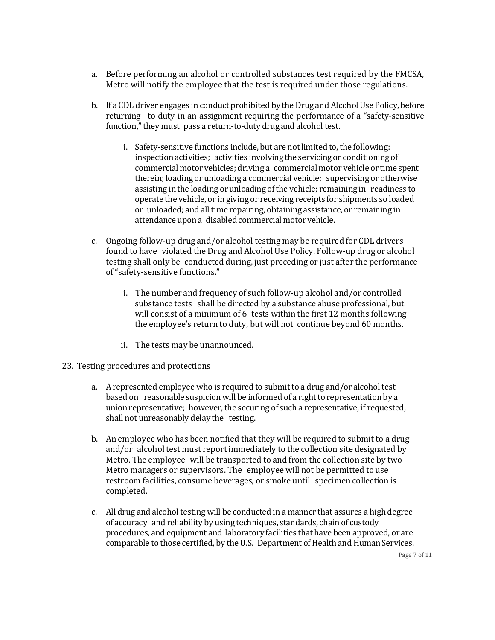- a. Before performing an alcohol or controlled substances test required by the FMCSA, Metro will notify the employee that the test is required under those regulations.
- b. If a CDL driver engages in conduct prohibited by the Drug and Alcohol Use Policy, before returning to duty in an assignment requiring the performance of a "safety-sensitive function," they must pass a return-to-duty drug and alcohol test.
	- i. Safety-sensitive functions include, but are not limited to, the following: inspection activities; activities involving the servicing or conditioning of commercial motor vehicles; driving a commercial motor vehicle or time spent therein; loading or unloading a commercial vehicle; supervising or otherwise assisting in the loading or unloading ofthe vehicle; remaining in readiness to operate the vehicle, or in giving or receiving receipts for shipments so loaded or unloaded; and all time repairing, obtaining assistance, or remaining in attendance upon a disabled commercial motor vehicle.
- c. Ongoing follow-up drug and/or alcohol testing may be required for CDL drivers found to have violated the Drug and Alcohol Use Policy. Follow-up drug or alcohol testing shall only be conducted during, just preceding or just after the performance of"safety-sensitive functions."
	- i. The number and frequency of such follow-up alcohol and/or controlled substance tests shall be directed by a substance abuse professional, but will consist of a minimum of 6 tests within the first 12 months following the employee's return to duty, but will not continue beyond 60 months.
	- ii. The tests may be unannounced.
- 23. Testing procedures and protections
	- a. A represented employee who is required to submit to a drug and/or alcohol test based on reasonable suspicion will be informed of a right to representation by a union representative; however, the securing of such a representative, if requested, shall not unreasonably delay the testing.
	- b. An employee who has been notified that they will be required to submit to a drug and/or alcohol test must report immediately to the collection site designated by Metro. The employee will be transported to and from the collection site by two Metro managers or supervisors. The employee will not be permitted to use restroom facilities, consume beverages, or smoke until specimen collection is completed.
	- c. All drug and alcohol testing will be conducted in a manner that assures a high degree of accuracy and reliability by using techniques, standards, chainof custody procedures, and equipment and laboratory facilities that have been approved, or are comparable to those certified, by the U.S. Department of Health and Human Services.

Page 7 of 11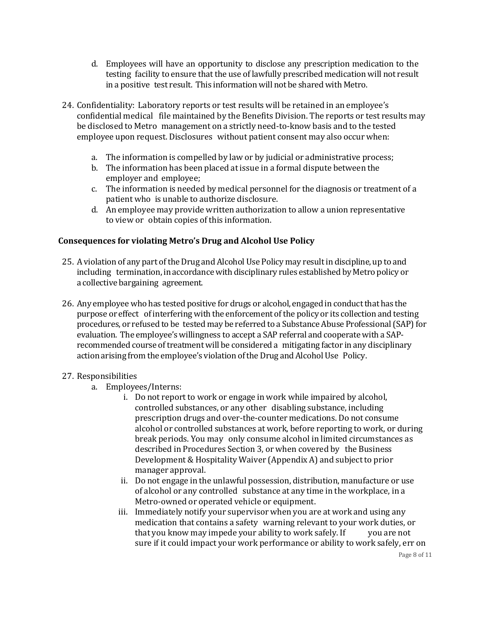- d. Employees will have an opportunity to disclose any prescription medication to the testing facility to ensure that the use of lawfully prescribed medication will not result in a positive test result. This information will not be shared with Metro.
- 24. Confidentiality: Laboratory reports or test results will be retained in an employee's confidential medical file maintained by the Benefits Division. The reports or test results may be disclosed to Metro management on a strictly need-to-know basis and to the tested employee upon request. Disclosures without patient consent may also occur when:
	- a. The information is compelled by law or by judicial or administrative process;
	- b. The information has been placed at issue in a formal dispute between the employer and employee;
	- c. The information is needed by medical personnel for the diagnosis or treatment of a patient who is unable to authorize disclosure.
	- d. An employee may provide written authorization to allow a union representative to view or obtain copies of this information.

## **Consequences for violating Metro's Drug and Alcohol Use Policy**

- 25. A violation of any part of the Drug and Alcohol Use Policy may result in discipline, up to and including termination, in accordance with disciplinary rules established by Metro policy or a collective bargaining agreement.
- 26. Any employee who has tested positive for drugs or alcohol, engaged in conduct that has the purpose or effect of interferingwith the enforcement ofthe policy or its collection and testing procedures, or refused to be tested may be referred to a Substance Abuse Professional (SAP) for evaluation. The employee's willingness to accept a SAP referral and cooperate with a SAPrecommended course oftreatment will be considered a mitigating factor in any disciplinary action arising from the employee's violation of the Drug and Alcohol Use Policy.

#### 27. Responsibilities

- a. Employees/Interns:
	- i. Do not report to work or engage in work while impaired by alcohol, controlled substances, or any other disabling substance, including prescription drugs and over-the-counter medications. Do not consume alcohol or controlled substances at work, before reporting to work, or during break periods. You may only consume alcohol in limited circumstances as described in Procedures Section 3, or when covered by the Business Development & Hospitality Waiver (Appendix A) and subject to prior manager approval.
	- ii. Do not engage in the unlawful possession, distribution, manufacture or use of alcohol or any controlled substance at any time in the workplace, in a Metro-owned or operated vehicle or equipment.
	- iii. Immediately notify your supervisor when you are at work and using any medication that contains a safety warning relevant to your work duties, or that you know may impede your ability to work safely. If you are not sure if it could impact your work performance or ability to work safely, err on

Page 8 of 11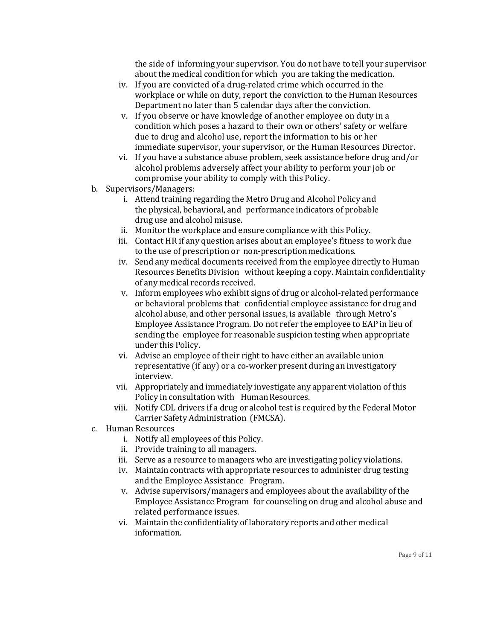the side of informing your supervisor. You do not have to tell your supervisor about the medical condition for which you are taking the medication.

- iv. If you are convicted of a drug-related crime which occurred in the workplace or while on duty, report the conviction to the Human Resources Department no later than 5 calendar days after the conviction.
- v. If you observe or have knowledge of another employee on duty in a condition which poses a hazard to their own or others' safety or welfare due to drug and alcohol use, report the information to his or her immediate supervisor, your supervisor, or the Human Resources Director.
- vi. If you have a substance abuse problem, seek assistance before drug and/or alcohol problems adversely affect your ability to perform your job or compromise your ability to comply with this Policy.
- b. Supervisors/Managers:
	- i. Attend training regarding the Metro Drug and Alcohol Policy and the physical, behavioral, and performance indicators of probable drug use and alcohol misuse.
	- ii. Monitor the workplace and ensure compliance with this Policy.
	- iii. Contact HR if any question arises about an employee's fitness to work due to the use of prescription or non-prescriptionmedications.
	- iv. Send any medical documents received from the employee directly to Human Resources Benefits Division without keeping a copy. Maintain confidentiality of any medical records received.
	- v. Inform employees who exhibit signs of drug or alcohol-related performance or behavioral problems that confidential employee assistance for drug and alcohol abuse, and other personal issues, is available through Metro's Employee Assistance Program. Do not refer the employee to EAP in lieu of sending the employee for reasonable suspicion testing when appropriate under this Policy.
	- vi. Advise an employee of their right to have either an available union representative (if any) or a co-worker present during an investigatory interview.
	- vii. Appropriately and immediately investigate any apparent violation of this Policy in consultation with Human Resources.
	- viii. Notify CDL drivers if a drug or alcohol test is required by the Federal Motor Carrier Safety Administration (FMCSA).
- c. Human Resources
	- i. Notify all employees of this Policy.
	- ii. Provide training to all managers.
	- iii. Serve as a resource to managers who are investigating policy violations.
	- iv. Maintain contracts with appropriate resources to administer drug testing and the Employee Assistance Program.
	- v. Advise supervisors/managers and employees about the availability of the Employee Assistance Program for counseling on drug and alcohol abuse and related performance issues.
	- vi. Maintain the confidentiality of laboratory reports and other medical information.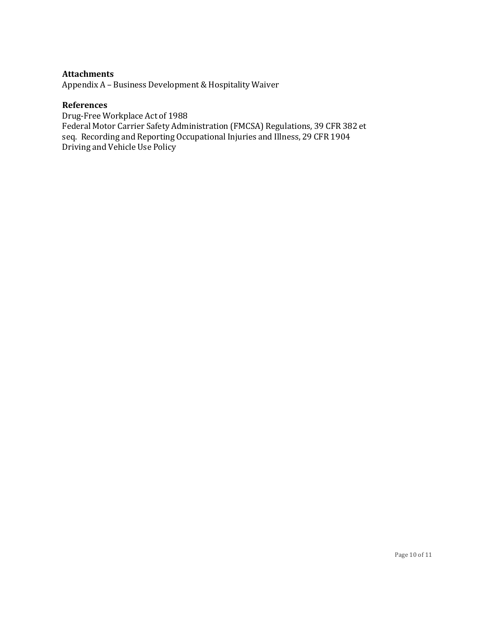## **Attachments**

Appendix A – Business Development & Hospitality Waiver

#### **References**

Drug-Free Workplace Act of 1988 Federal Motor Carrier Safety Administration (FMCSA) Regulations, 39 CFR 382 et seq. Recording and Reporting Occupational Injuries and Illness, 29 CFR 1904 Driving and Vehicle Use Policy